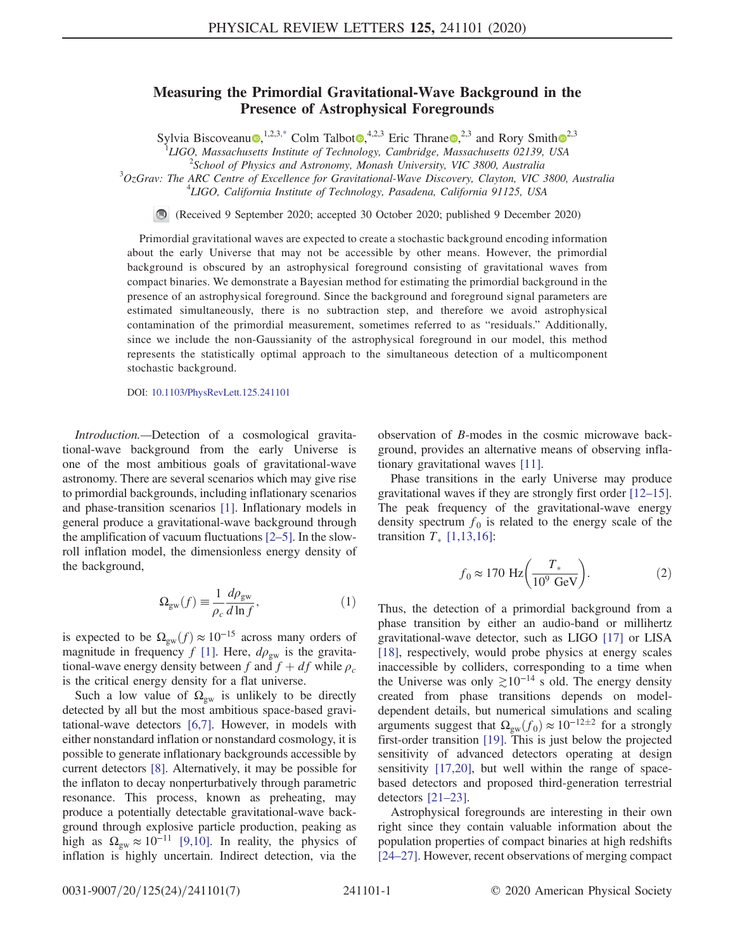## Measuring the Primordial Gravitational-Wave Background in the Presence of Astrophysical Foregrounds

Sylvia Biscoveanu<sup>(1,2,3[,\\*](#page-5-0)</sup> Colm Talbot $\Phi$ ,<sup>4,[2](https://orcid.org/0000-0001-8516-3324),3</sup> Eric Thrane  $\Phi$ ,<sup>2,3</sup> and Rory Smith  $\Phi$ <sup>2,3</sup>

<sup>1</sup>LIGO, Massachusetts Institute of Technology, Cambridge, Massachusetts 02139, USA  $^{2}$ School of Physics and Astronomy, Manash University, VIC 3800, Australia

 $^2$ School of Physics and Astronomy, Monash University, VIC 3800, Australia

<span id="page-0-0"></span> $3$ OzGrav: The ARC Centre of Excellence for Gravitational-Wave Discovery, Clayton, VIC 3800, Australia <sup>4</sup>LIGO, California Institute of Technology, Pasadena, California 91125, USA

 $\bigcirc$ (Received 9 September 2020; accepted 30 October 2020; published 9 December 2020)

Primordial gravitational waves are expected to create a stochastic background encoding information about the early Universe that may not be accessible by other means. However, the primordial background is obscured by an astrophysical foreground consisting of gravitational waves from compact binaries. We demonstrate a Bayesian method for estimating the primordial background in the presence of an astrophysical foreground. Since the background and foreground signal parameters are estimated simultaneously, there is no subtraction step, and therefore we avoid astrophysical contamination of the primordial measurement, sometimes referred to as "residuals." Additionally, since we include the non-Gaussianity of the astrophysical foreground in our model, this method represents the statistically optimal approach to the simultaneous detection of a multicomponent stochastic background.

DOI: [10.1103/PhysRevLett.125.241101](https://doi.org/10.1103/PhysRevLett.125.241101)

Introduction.—Detection of a cosmological gravitational-wave background from the early Universe is one of the most ambitious goals of gravitational-wave astronomy. There are several scenarios which may give rise to primordial backgrounds, including inflationary scenarios and phase-transition scenarios [\[1\].](#page-5-1) Inflationary models in general produce a gravitational-wave background through the amplification of vacuum fluctuations [2–[5\].](#page-5-2) In the slowroll inflation model, the dimensionless energy density of the background,

$$
\Omega_{\rm gw}(f) \equiv \frac{1}{\rho_c} \frac{d\rho_{\rm gw}}{d\ln f},\tag{1}
$$

is expected to be  $\Omega_{\text{gw}}(f) \approx 10^{-15}$  across many orders of magnitude in frequency f [\[1\]](#page-5-1). Here,  $d\rho_{gw}$  is the gravitational-wave energy density between f and  $f + df$  while  $\rho_c$ is the critical energy density for a flat universe.

Such a low value of  $\Omega_{gw}$  is unlikely to be directly detected by all but the most ambitious space-based gravitational-wave detectors [\[6,7\]](#page-5-3). However, in models with either nonstandard inflation or nonstandard cosmology, it is possible to generate inflationary backgrounds accessible by current detectors [\[8\].](#page-5-4) Alternatively, it may be possible for the inflaton to decay nonperturbatively through parametric resonance. This process, known as preheating, may produce a potentially detectable gravitational-wave background through explosive particle production, peaking as high as  $\Omega_{\text{gw}} \approx 10^{-11}$  [\[9,10\].](#page-5-5) In reality, the physics of inflation is highly uncertain. Indirect detection, via the observation of B-modes in the cosmic microwave background, provides an alternative means of observing inflationary gravitational waves [\[11\].](#page-5-6)

Phase transitions in the early Universe may produce gravitational waves if they are strongly first order [\[12](#page-5-7)–15]. The peak frequency of the gravitational-wave energy density spectrum  $f_0$  is related to the energy scale of the transition  $T_*$  [\[1,13,16\]](#page-5-1):

$$
f_0 \approx 170 \text{ Hz} \left( \frac{T_*}{10^9 \text{ GeV}} \right). \tag{2}
$$

Thus, the detection of a primordial background from a phase transition by either an audio-band or millihertz gravitational-wave detector, such as LIGO [\[17\]](#page-5-8) or LISA [\[18\]](#page-5-9), respectively, would probe physics at energy scales inaccessible by colliders, corresponding to a time when the Universe was only  $\geq 10^{-14}$  s old. The energy density created from phase transitions depends on modeldependent details, but numerical simulations and scaling arguments suggest that  $\Omega_{gw}(f_0) \approx 10^{-12 \pm 2}$  for a strongly first-order transition [\[19\].](#page-5-10) This is just below the projected sensitivity of advanced detectors operating at design sensitivity [\[17,20\],](#page-5-8) but well within the range of spacebased detectors and proposed third-generation terrestrial detectors [\[21](#page-6-0)–23].

Astrophysical foregrounds are interesting in their own right since they contain valuable information about the population properties of compact binaries at high redshifts [\[24](#page-6-1)–27]. However, recent observations of merging compact

0031-9007/20/125(24)/241101(7) 241101-1 © 2020 American Physical Society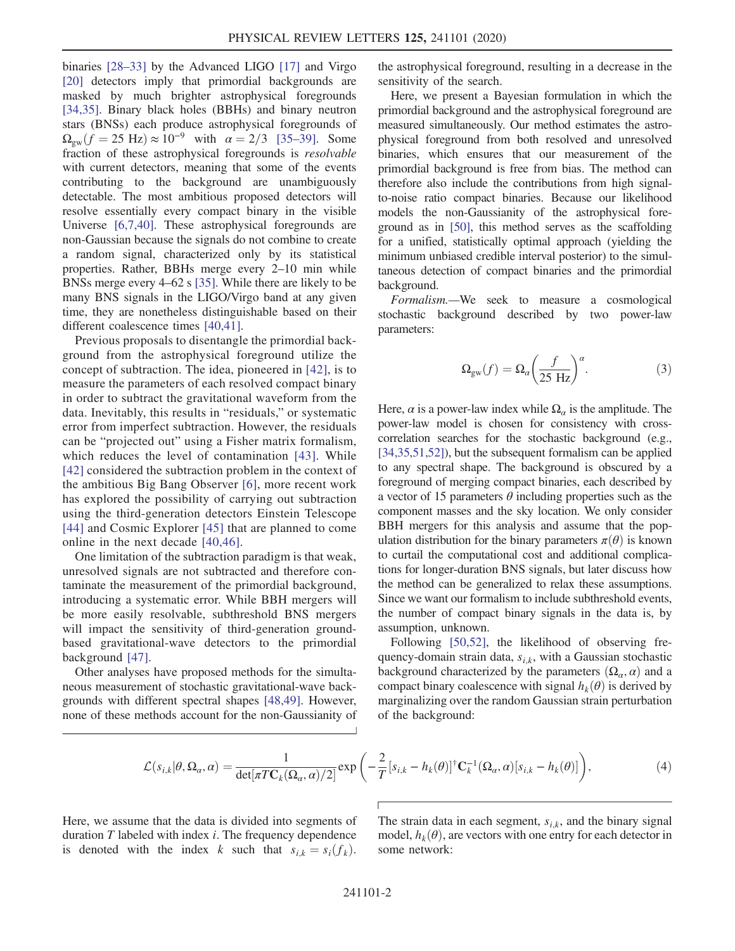binaries [28–[33\]](#page-6-2) by the Advanced LIGO [\[17\]](#page-5-8) and Virgo [\[20\]](#page-5-11) detectors imply that primordial backgrounds are masked by much brighter astrophysical foregrounds [\[34,35\]](#page-6-3). Binary black holes (BBHs) and binary neutron stars (BNSs) each produce astrophysical foregrounds of  $\Omega_{\rm gw}(f = 25 \text{ Hz}) \approx 10^{-9}$  with  $\alpha = 2/3$  [\[35](#page-6-4)–39]. Some fraction of these astrophysical foregrounds is resolvable with current detectors, meaning that some of the events contributing to the background are unambiguously detectable. The most ambitious proposed detectors will resolve essentially every compact binary in the visible Universe [\[6,7,40\]](#page-5-3). These astrophysical foregrounds are non-Gaussian because the signals do not combine to create a random signal, characterized only by its statistical properties. Rather, BBHs merge every 2–10 min while BNSs merge every 4–62 s [\[35\]](#page-6-4). While there are likely to be many BNS signals in the LIGO/Virgo band at any given time, they are nonetheless distinguishable based on their different coalescence times [\[40,41\]](#page-6-5).

Previous proposals to disentangle the primordial background from the astrophysical foreground utilize the concept of subtraction. The idea, pioneered in [\[42\],](#page-6-6) is to measure the parameters of each resolved compact binary in order to subtract the gravitational waveform from the data. Inevitably, this results in "residuals," or systematic error from imperfect subtraction. However, the residuals can be "projected out" using a Fisher matrix formalism, which reduces the level of contamination [\[43\]](#page-6-7). While [\[42\]](#page-6-6) considered the subtraction problem in the context of the ambitious Big Bang Observer [\[6\]](#page-5-3), more recent work has explored the possibility of carrying out subtraction using the third-generation detectors Einstein Telescope [\[44\]](#page-6-8) and Cosmic Explorer [\[45\]](#page-6-9) that are planned to come online in the next decade [\[40,46\].](#page-6-5)

One limitation of the subtraction paradigm is that weak, unresolved signals are not subtracted and therefore contaminate the measurement of the primordial background, introducing a systematic error. While BBH mergers will be more easily resolvable, subthreshold BNS mergers will impact the sensitivity of third-generation groundbased gravitational-wave detectors to the primordial background [\[47\].](#page-6-10)

<span id="page-1-0"></span>Other analyses have proposed methods for the simultaneous measurement of stochastic gravitational-wave backgrounds with different spectral shapes [\[48,49\]](#page-6-11). However, none of these methods account for the non-Gaussianity of the astrophysical foreground, resulting in a decrease in the sensitivity of the search.

Here, we present a Bayesian formulation in which the primordial background and the astrophysical foreground are measured simultaneously. Our method estimates the astrophysical foreground from both resolved and unresolved binaries, which ensures that our measurement of the primordial background is free from bias. The method can therefore also include the contributions from high signalto-noise ratio compact binaries. Because our likelihood models the non-Gaussianity of the astrophysical foreground as in [\[50\],](#page-6-12) this method serves as the scaffolding for a unified, statistically optimal approach (yielding the minimum unbiased credible interval posterior) to the simultaneous detection of compact binaries and the primordial background.

Formalism.—We seek to measure a cosmological stochastic background described by two power-law parameters:

$$
\Omega_{\rm gw}(f) = \Omega_a \left(\frac{f}{25 \text{ Hz}}\right)^a.
$$
 (3)

Here,  $\alpha$  is a power-law index while  $\Omega_{\alpha}$  is the amplitude. The power-law model is chosen for consistency with crosscorrelation searches for the stochastic background (e.g., [\[34,35,51,52\]](#page-6-3)), but the subsequent formalism can be applied to any spectral shape. The background is obscured by a foreground of merging compact binaries, each described by a vector of 15 parameters  $\theta$  including properties such as the component masses and the sky location. We only consider BBH mergers for this analysis and assume that the population distribution for the binary parameters  $\pi(\theta)$  is known to curtail the computational cost and additional complications for longer-duration BNS signals, but later discuss how the method can be generalized to relax these assumptions. Since we want our formalism to include subthreshold events, the number of compact binary signals in the data is, by assumption, unknown.

Following [\[50,52\],](#page-6-12) the likelihood of observing frequency-domain strain data,  $s_{i,k}$ , with a Gaussian stochastic background characterized by the parameters  $(\Omega_{\alpha}, \alpha)$  and a compact binary coalescence with signal  $h_k(\theta)$  is derived by marginalizing over the random Gaussian strain perturbation of the background:

$$
\mathcal{L}(s_{i,k}|\theta,\Omega_{\alpha},\alpha) = \frac{1}{\det[\pi T\mathbf{C}_k(\Omega_{\alpha},\alpha)/2]} \exp\left(-\frac{2}{T} [s_{i,k} - h_k(\theta)]^{\dagger} \mathbf{C}_k^{-1}(\Omega_{\alpha},\alpha) [s_{i,k} - h_k(\theta)]\right),\tag{4}
$$

Here, we assume that the data is divided into segments of duration  $T$  labeled with index  $i$ . The frequency dependence is denoted with the index k such that  $s_{i,k} = s_i(f_k)$ . The strain data in each segment,  $s_{i,k}$ , and the binary signal model,  $h_k(\theta)$ , are vectors with one entry for each detector in some network: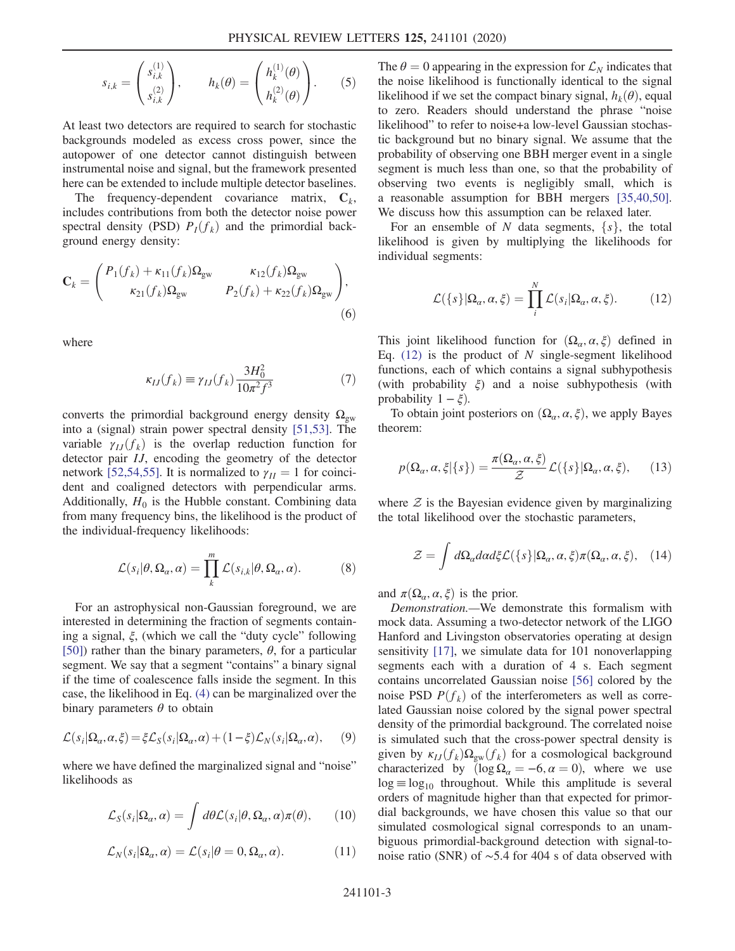$$
s_{i,k} = \begin{pmatrix} s_{i,k}^{(1)} \\ s_{i,k}^{(2)} \end{pmatrix}, \qquad h_k(\theta) = \begin{pmatrix} h_k^{(1)}(\theta) \\ h_k^{(2)}(\theta) \end{pmatrix}.
$$
 (5)

At least two detectors are required to search for stochastic backgrounds modeled as excess cross power, since the autopower of one detector cannot distinguish between instrumental noise and signal, but the framework presented here can be extended to include multiple detector baselines.

The frequency-dependent covariance matrix,  $C_k$ , includes contributions from both the detector noise power spectral density (PSD)  $P_I(f_k)$  and the primordial background energy density:

<span id="page-2-1"></span>
$$
\mathbf{C}_{k} = \begin{pmatrix} P_{1}(f_{k}) + \kappa_{11}(f_{k})\Omega_{\text{gw}} & \kappa_{12}(f_{k})\Omega_{\text{gw}} \\ \kappa_{21}(f_{k})\Omega_{\text{gw}} & P_{2}(f_{k}) + \kappa_{22}(f_{k})\Omega_{\text{gw}} \end{pmatrix},
$$
\n(6)

where

$$
\kappa_{IJ}(f_k) \equiv \gamma_{IJ}(f_k) \frac{3H_0^2}{10\pi^2 f^3} \tag{7}
$$

converts the primordial background energy density  $\Omega_{gw}$ into a (signal) strain power spectral density [\[51,53\]](#page-6-13). The variable  $\gamma_{IJ}(f_k)$  is the overlap reduction function for detector pair IJ, encoding the geometry of the detector network [\[52,54,55\].](#page-6-14) It is normalized to  $\gamma_{II} = 1$  for coincident and coaligned detectors with perpendicular arms. Additionally,  $H_0$  is the Hubble constant. Combining data from many frequency bins, the likelihood is the product of the individual-frequency likelihoods:

$$
\mathcal{L}(s_i|\theta, \Omega_\alpha, \alpha) = \prod_k^m \mathcal{L}(s_{i,k}|\theta, \Omega_\alpha, \alpha).
$$
 (8)

For an astrophysical non-Gaussian foreground, we are interested in determining the fraction of segments containing a signal, ξ, (which we call the "duty cycle" following [\[50\]](#page-6-12)) rather than the binary parameters,  $\theta$ , for a particular segment. We say that a segment "contains" a binary signal if the time of coalescence falls inside the segment. In this case, the likelihood in Eq. [\(4\)](#page-1-0) can be marginalized over the binary parameters  $\theta$  to obtain

<span id="page-2-4"></span>
$$
\mathcal{L}(s_i|\Omega_a, \alpha, \xi) = \xi \mathcal{L}_S(s_i|\Omega_a, \alpha) + (1 - \xi) \mathcal{L}_N(s_i|\Omega_a, \alpha), \qquad (9)
$$

<span id="page-2-2"></span>where we have defined the marginalized signal and "noise" likelihoods as

$$
\mathcal{L}_S(s_i|\Omega_\alpha,\alpha) = \int d\theta \mathcal{L}(s_i|\theta,\Omega_\alpha,\alpha)\pi(\theta), \qquad (10)
$$

<span id="page-2-3"></span>
$$
\mathcal{L}_N(s_i|\Omega_\alpha,\alpha) = \mathcal{L}(s_i|\theta = 0, \Omega_\alpha, \alpha). \tag{11}
$$

The  $\theta = 0$  appearing in the expression for  $\mathcal{L}_N$  indicates that the noise likelihood is functionally identical to the signal likelihood if we set the compact binary signal,  $h_k(\theta)$ , equal to zero. Readers should understand the phrase "noise likelihood" to refer to noise+a low-level Gaussian stochastic background but no binary signal. We assume that the probability of observing one BBH merger event in a single segment is much less than one, so that the probability of observing two events is negligibly small, which is a reasonable assumption for BBH mergers [\[35,40,50\]](#page-6-4). We discuss how this assumption can be relaxed later.

<span id="page-2-0"></span>For an ensemble of N data segments,  $\{s\}$ , the total likelihood is given by multiplying the likelihoods for individual segments:

$$
\mathcal{L}(\{s\}|\Omega_{\alpha},\alpha,\xi) = \prod_{i}^{N} \mathcal{L}(s_{i}|\Omega_{\alpha},\alpha,\xi). \tag{12}
$$

This joint likelihood function for  $(\Omega_{\alpha}, \alpha, \xi)$  defined in Eq.  $(12)$  is the product of N single-segment likelihood functions, each of which contains a signal subhypothesis (with probability ξ) and a noise subhypothesis (with probability  $1 - \xi$ ).

To obtain joint posteriors on  $(\Omega_{\alpha}, \alpha, \xi)$ , we apply Bayes theorem:

$$
p(\Omega_{\alpha}, \alpha, \xi | \{s\}) = \frac{\pi(\Omega_{\alpha}, \alpha, \xi)}{\mathcal{Z}} \mathcal{L}(\{s\} | \Omega_{\alpha}, \alpha, \xi), \qquad (13)
$$

<span id="page-2-5"></span>where  $\mathcal Z$  is the Bayesian evidence given by marginalizing the total likelihood over the stochastic parameters,

$$
\mathcal{Z} = \int d\Omega_a d\alpha d\xi \mathcal{L}(\{s\} | \Omega_a, \alpha, \xi) \pi(\Omega_a, \alpha, \xi), \quad (14)
$$

and  $\pi(\Omega_{\alpha}, \alpha, \xi)$  is the prior.

Demonstration.—We demonstrate this formalism with mock data. Assuming a two-detector network of the LIGO Hanford and Livingston observatories operating at design sensitivity [\[17\]](#page-5-8), we simulate data for 101 nonoverlapping segments each with a duration of 4 s. Each segment contains uncorrelated Gaussian noise [\[56\]](#page-6-15) colored by the noise PSD  $P(f_k)$  of the interferometers as well as correlated Gaussian noise colored by the signal power spectral density of the primordial background. The correlated noise is simulated such that the cross-power spectral density is given by  $\kappa_{IJ}(f_k)\Omega_{gw}(f_k)$  for a cosmological background characterized by  $(\log \Omega_a = -6, \alpha = 0)$ , where we use  $log \equiv log_{10}$  throughout. While this amplitude is several orders of magnitude higher than that expected for primordial backgrounds, we have chosen this value so that our simulated cosmological signal corresponds to an unambiguous primordial-background detection with signal-tonoise ratio (SNR) of ∼5.4 for 404 s of data observed with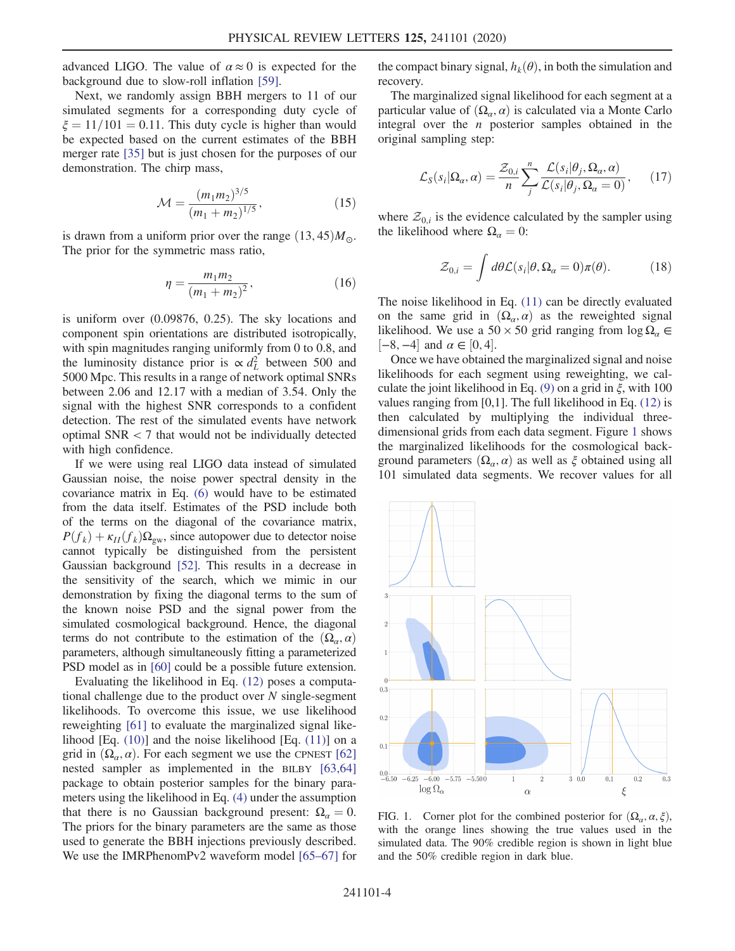advanced LIGO. The value of  $\alpha \approx 0$  is expected for the background due to slow-roll inflation [\[59\]](#page-6-16).

Next, we randomly assign BBH mergers to 11 of our simulated segments for a corresponding duty cycle of  $\xi = 11/101 = 0.11$ . This duty cycle is higher than would be expected based on the current estimates of the BBH merger rate [\[35\]](#page-6-4) but is just chosen for the purposes of our demonstration. The chirp mass,

$$
\mathcal{M} = \frac{(m_1 m_2)^{3/5}}{(m_1 + m_2)^{1/5}},\tag{15}
$$

is drawn from a uniform prior over the range  $(13, 45)M_{\odot}$ . The prior for the symmetric mass ratio,

$$
\eta = \frac{m_1 m_2}{(m_1 + m_2)^2},\tag{16}
$$

is uniform over (0.09876, 0.25). The sky locations and component spin orientations are distributed isotropically, with spin magnitudes ranging uniformly from 0 to 0.8, and the luminosity distance prior is  $\propto d_L^2$  between 500 and 5000 Mpc. This results in a range of network optimal SNRs between 2.06 and 12.17 with a median of 3.54. Only the signal with the highest SNR corresponds to a confident detection. The rest of the simulated events have network optimal SNR < 7 that would not be individually detected with high confidence.

If we were using real LIGO data instead of simulated Gaussian noise, the noise power spectral density in the covariance matrix in Eq. [\(6\)](#page-2-1) would have to be estimated from the data itself. Estimates of the PSD include both of the terms on the diagonal of the covariance matrix,  $P(f_k) + \kappa_{II}(f_k)\Omega_{\rm gw}$ , since autopower due to detector noise cannot typically be distinguished from the persistent Gaussian background [\[52\].](#page-6-14) This results in a decrease in the sensitivity of the search, which we mimic in our demonstration by fixing the diagonal terms to the sum of the known noise PSD and the signal power from the simulated cosmological background. Hence, the diagonal terms do not contribute to the estimation of the  $(\Omega_{\alpha}, \alpha)$ parameters, although simultaneously fitting a parameterized PSD model as in [\[60\]](#page-6-17) could be a possible future extension.

Evaluating the likelihood in Eq. [\(12\)](#page-2-0) poses a computational challenge due to the product over  $N$  single-segment likelihoods. To overcome this issue, we use likelihood reweighting [\[61\]](#page-6-18) to evaluate the marginalized signal likelihood [Eq. [\(10\)\]](#page-2-2) and the noise likelihood [Eq. [\(11\)\]](#page-2-3) on a grid in  $(\Omega_{\alpha}, \alpha)$ . For each segment we use the CPNEST [\[62\]](#page-6-19) nested sampler as implemented in the BILBY [\[63,64\]](#page-6-20) package to obtain posterior samples for the binary parameters using the likelihood in Eq. [\(4\)](#page-1-0) under the assumption that there is no Gaussian background present:  $\Omega_a = 0$ . The priors for the binary parameters are the same as those used to generate the BBH injections previously described. We use the IMRPhenomPv2 waveform model [65–[67\]](#page-6-21) for the compact binary signal,  $h_k(\theta)$ , in both the simulation and recovery.

<span id="page-3-1"></span>The marginalized signal likelihood for each segment at a particular value of  $(\Omega_{\alpha}, \alpha)$  is calculated via a Monte Carlo integral over the  $n$  posterior samples obtained in the original sampling step:

$$
\mathcal{L}_{S}(s_{i}|\Omega_{\alpha},\alpha) = \frac{\mathcal{Z}_{0,i}}{n} \sum_{j}^{n} \frac{\mathcal{L}(s_{i}|\theta_{j},\Omega_{\alpha},\alpha)}{\mathcal{L}(s_{i}|\theta_{j},\Omega_{\alpha}=0)},\qquad(17)
$$

where  $\mathcal{Z}_{0,i}$  is the evidence calculated by the sampler using the likelihood where  $\Omega_{\alpha} = 0$ :

$$
\mathcal{Z}_{0,i} = \int d\theta \mathcal{L}(s_i | \theta, \Omega_a = 0) \pi(\theta). \tag{18}
$$

The noise likelihood in Eq. [\(11\)](#page-2-3) can be directly evaluated on the same grid in  $(\Omega_{\alpha}, \alpha)$  as the reweighted signal likelihood. We use a 50 × 50 grid ranging from  $\log \Omega_a \in$  $[-8, -4]$  and  $\alpha \in [0, 4]$ .

Once we have obtained the marginalized signal and noise likelihoods for each segment using reweighting, we cal-culate the joint likelihood in Eq. [\(9\)](#page-2-4) on a grid in  $\xi$ , with 100 values ranging from [0,1]. The full likelihood in Eq. [\(12\)](#page-2-0) is then calculated by multiplying the individual threedimensional grids from each data segment. Figure [1](#page-3-0) shows the marginalized likelihoods for the cosmological background parameters  $(\Omega_{\alpha}, \alpha)$  as well as  $\xi$  obtained using all 101 simulated data segments. We recover values for all

<span id="page-3-0"></span>

FIG. 1. Corner plot for the combined posterior for  $(\Omega_{\alpha}, \alpha, \xi)$ , with the orange lines showing the true values used in the simulated data. The 90% credible region is shown in light blue and the 50% credible region in dark blue.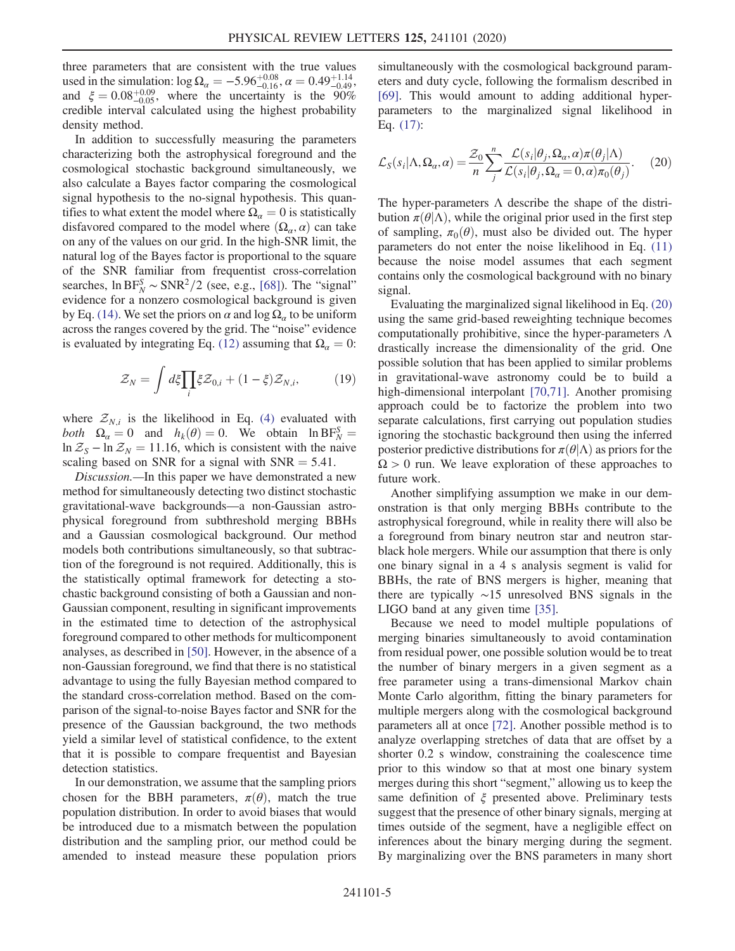three parameters that are consistent with the true values used in the simulation:  $\log \Omega_a = -5.96^{+0.08}_{-0.16}$ ,  $\alpha = 0.49^{+1.14}_{-0.49}$ , and  $\xi = 0.08^{+0.09}_{-0.05}$ , where the uncertainty is the 90% credible interval calculated using the highest probability density method.

In addition to successfully measuring the parameters characterizing both the astrophysical foreground and the cosmological stochastic background simultaneously, we also calculate a Bayes factor comparing the cosmological signal hypothesis to the no-signal hypothesis. This quantifies to what extent the model where  $\Omega_a = 0$  is statistically disfavored compared to the model where  $(\Omega_{\alpha}, \alpha)$  can take on any of the values on our grid. In the high-SNR limit, the natural log of the Bayes factor is proportional to the square of the SNR familiar from frequentist cross-correlation searches,  $\ln \text{BF}_{N}^{S} \sim \text{SNR}^{2}/2$  (see, e.g., [\[68\]\)](#page-6-22). The "signal" evidence for a nonzero cosmological background is given by Eq. [\(14\)](#page-2-5). We set the priors on  $\alpha$  and log  $\Omega_{\alpha}$  to be uniform across the ranges covered by the grid. The "noise" evidence is evaluated by integrating Eq. [\(12\)](#page-2-0) assuming that  $\Omega_a = 0$ :

$$
\mathcal{Z}_N = \int d\xi \prod_i \xi \mathcal{Z}_{0,i} + (1 - \xi) \mathcal{Z}_{N,i},\tag{19}
$$

where  $Z_{N,i}$  is the likelihood in Eq. [\(4\)](#page-1-0) evaluated with both  $\Omega_{\alpha} = 0$  and  $h_k(\theta) = 0$ . We obtain  $\ln BF_N^S =$ <br> $\ln \mathcal{Z}_{\alpha} = \ln \mathcal{Z}_{\alpha} = 11.16$  which is consistent with the naive ln  $\mathcal{Z}_s$  – ln  $\mathcal{Z}_N$  = 11.16, which is consistent with the naive scaling based on SNR for a signal with  $SNR = 5.41$ .

Discussion.—In this paper we have demonstrated a new method for simultaneously detecting two distinct stochastic gravitational-wave backgrounds—a non-Gaussian astrophysical foreground from subthreshold merging BBHs and a Gaussian cosmological background. Our method models both contributions simultaneously, so that subtraction of the foreground is not required. Additionally, this is the statistically optimal framework for detecting a stochastic background consisting of both a Gaussian and non-Gaussian component, resulting in significant improvements in the estimated time to detection of the astrophysical foreground compared to other methods for multicomponent analyses, as described in [\[50\]](#page-6-12). However, in the absence of a non-Gaussian foreground, we find that there is no statistical advantage to using the fully Bayesian method compared to the standard cross-correlation method. Based on the comparison of the signal-to-noise Bayes factor and SNR for the presence of the Gaussian background, the two methods yield a similar level of statistical confidence, to the extent that it is possible to compare frequentist and Bayesian detection statistics.

In our demonstration, we assume that the sampling priors chosen for the BBH parameters,  $\pi(\theta)$ , match the true population distribution. In order to avoid biases that would be introduced due to a mismatch between the population distribution and the sampling prior, our method could be amended to instead measure these population priors simultaneously with the cosmological background parameters and duty cycle, following the formalism described in [\[69\]](#page-6-23). This would amount to adding additional hyperparameters to the marginalized signal likelihood in Eq. [\(17\)](#page-3-1):

<span id="page-4-0"></span>
$$
\mathcal{L}_{S}(s_{i}|\Lambda,\Omega_{\alpha},\alpha) = \frac{\mathcal{Z}_{0}}{n} \sum_{j}^{n} \frac{\mathcal{L}(s_{i}|\theta_{j},\Omega_{\alpha},\alpha)\pi(\theta_{j}|\Lambda)}{\mathcal{L}(s_{i}|\theta_{j},\Omega_{\alpha}=0,\alpha)\pi_{0}(\theta_{j})}.
$$
 (20)

The hyper-parameters  $\Lambda$  describe the shape of the distribution  $\pi(\theta|\Lambda)$ , while the original prior used in the first step of sampling,  $\pi_0(\theta)$ , must also be divided out. The hyper parameters do not enter the noise likelihood in Eq. [\(11\)](#page-2-3) because the noise model assumes that each segment contains only the cosmological background with no binary signal.

Evaluating the marginalized signal likelihood in Eq. [\(20\)](#page-4-0) using the same grid-based reweighting technique becomes computationally prohibitive, since the hyper-parameters Λ drastically increase the dimensionality of the grid. One possible solution that has been applied to similar problems in gravitational-wave astronomy could be to build a high-dimensional interpolant [\[70,71\]](#page-6-24). Another promising approach could be to factorize the problem into two separate calculations, first carrying out population studies ignoring the stochastic background then using the inferred posterior predictive distributions for  $\pi(\theta|\Lambda)$  as priors for the  $\Omega > 0$  run. We leave exploration of these approaches to future work.

Another simplifying assumption we make in our demonstration is that only merging BBHs contribute to the astrophysical foreground, while in reality there will also be a foreground from binary neutron star and neutron starblack hole mergers. While our assumption that there is only one binary signal in a 4 s analysis segment is valid for BBHs, the rate of BNS mergers is higher, meaning that there are typically ∼15 unresolved BNS signals in the LIGO band at any given time [\[35\].](#page-6-4)

Because we need to model multiple populations of merging binaries simultaneously to avoid contamination from residual power, one possible solution would be to treat the number of binary mergers in a given segment as a free parameter using a trans-dimensional Markov chain Monte Carlo algorithm, fitting the binary parameters for multiple mergers along with the cosmological background parameters all at once [\[72\]](#page-6-25). Another possible method is to analyze overlapping stretches of data that are offset by a shorter 0.2 s window, constraining the coalescence time prior to this window so that at most one binary system merges during this short "segment," allowing us to keep the same definition of  $\xi$  presented above. Preliminary tests suggest that the presence of other binary signals, merging at times outside of the segment, have a negligible effect on inferences about the binary merging during the segment. By marginalizing over the BNS parameters in many short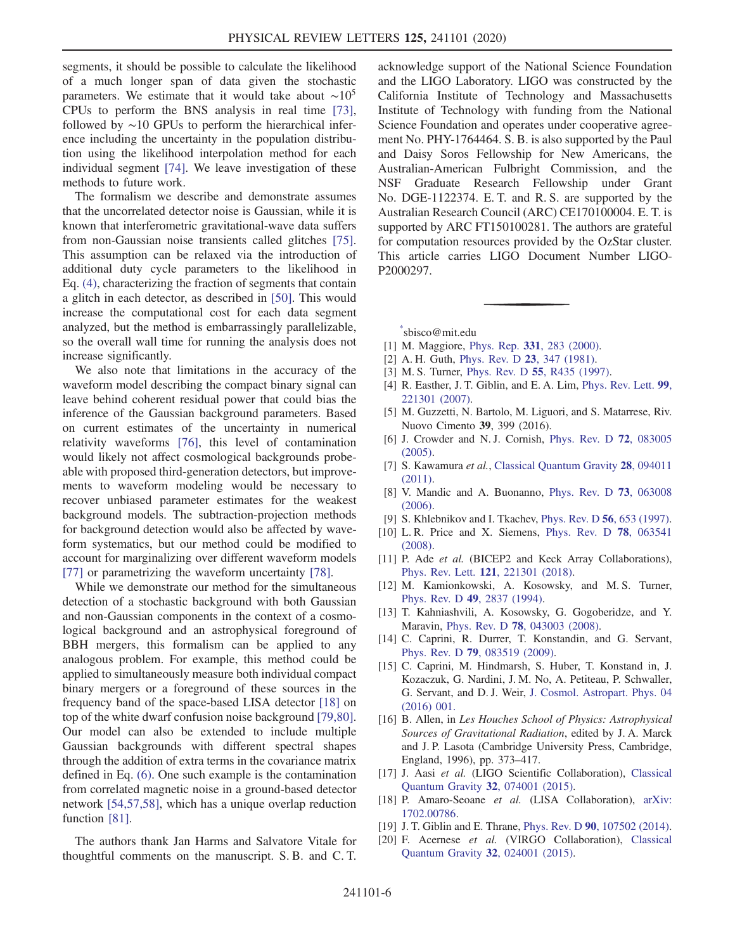segments, it should be possible to calculate the likelihood of a much longer span of data given the stochastic parameters. We estimate that it would take about  $~\sim 10^5$ CPUs to perform the BNS analysis in real time [\[73\]](#page-6-26), followed by ∼10 GPUs to perform the hierarchical inference including the uncertainty in the population distribution using the likelihood interpolation method for each individual segment [\[74\]](#page-6-27). We leave investigation of these methods to future work.

The formalism we describe and demonstrate assumes that the uncorrelated detector noise is Gaussian, while it is known that interferometric gravitational-wave data suffers from non-Gaussian noise transients called glitches [\[75\]](#page-6-28). This assumption can be relaxed via the introduction of additional duty cycle parameters to the likelihood in Eq. [\(4\),](#page-1-0) characterizing the fraction of segments that contain a glitch in each detector, as described in [\[50\]](#page-6-12). This would increase the computational cost for each data segment analyzed, but the method is embarrassingly parallelizable, so the overall wall time for running the analysis does not increase significantly.

We also note that limitations in the accuracy of the waveform model describing the compact binary signal can leave behind coherent residual power that could bias the inference of the Gaussian background parameters. Based on current estimates of the uncertainty in numerical relativity waveforms [\[76\]](#page-6-29), this level of contamination would likely not affect cosmological backgrounds probeable with proposed third-generation detectors, but improvements to waveform modeling would be necessary to recover unbiased parameter estimates for the weakest background models. The subtraction-projection methods for background detection would also be affected by waveform systematics, but our method could be modified to account for marginalizing over different waveform models [\[77\]](#page-6-30) or parametrizing the waveform uncertainty [\[78\]](#page-6-31).

While we demonstrate our method for the simultaneous detection of a stochastic background with both Gaussian and non-Gaussian components in the context of a cosmological background and an astrophysical foreground of BBH mergers, this formalism can be applied to any analogous problem. For example, this method could be applied to simultaneously measure both individual compact binary mergers or a foreground of these sources in the frequency band of the space-based LISA detector [\[18\]](#page-5-9) on top of the white dwarf confusion noise background [\[79,80\]](#page-6-32). Our model can also be extended to include multiple Gaussian backgrounds with different spectral shapes through the addition of extra terms in the covariance matrix defined in Eq. [\(6\)](#page-2-1). One such example is the contamination from correlated magnetic noise in a ground-based detector network [\[54,57,58\],](#page-6-33) which has a unique overlap reduction function [\[81\].](#page-6-34)

The authors thank Jan Harms and Salvatore Vitale for thoughtful comments on the manuscript. S. B. and C. T. acknowledge support of the National Science Foundation and the LIGO Laboratory. LIGO was constructed by the California Institute of Technology and Massachusetts Institute of Technology with funding from the National Science Foundation and operates under cooperative agreement No. PHY-1764464. S. B. is also supported by the Paul and Daisy Soros Fellowship for New Americans, the Australian-American Fulbright Commission, and the NSF Graduate Research Fellowship under Grant No. DGE-1122374. E. T. and R. S. are supported by the Australian Research Council (ARC) CE170100004. E. T. is supported by ARC FT150100281. The authors are grateful for computation resources provided by the OzStar cluster. This article carries LIGO Document Number LIGO-P2000297.

<span id="page-5-1"></span><span id="page-5-0"></span>[\\*](#page-0-0) sbisco@mit.edu

- <span id="page-5-2"></span>[1] M. Maggiore, Phys. Rep. 331[, 283 \(2000\)](https://doi.org/10.1016/S0370-1573(99)00102-7).
- [2] A. H. Guth, *[Phys. Rev. D](https://doi.org/10.1103/PhysRevD.23.347)* **23**, 347 (1981).
- [3] M. S. Turner, Phys. Rev. D **55**[, R435 \(1997\).](https://doi.org/10.1103/PhysRevD.55.R435)
- [4] R. Easther, J. T. Giblin, and E. A. Lim, [Phys. Rev. Lett.](https://doi.org/10.1103/PhysRevLett.99.221301) 99, [221301 \(2007\).](https://doi.org/10.1103/PhysRevLett.99.221301)
- <span id="page-5-3"></span>[5] M. Guzzetti, N. Bartolo, M. Liguori, and S. Matarrese, Riv. Nuovo Cimento 39, 399 (2016).
- [6] J. Crowder and N. J. Cornish, [Phys. Rev. D](https://doi.org/10.1103/PhysRevD.72.083005) 72, 083005 [\(2005\).](https://doi.org/10.1103/PhysRevD.72.083005)
- <span id="page-5-4"></span>[7] S. Kawamura et al., [Classical Quantum Gravity](https://doi.org/10.1088/0264-9381/28/9/094011) 28, 094011 [\(2011\).](https://doi.org/10.1088/0264-9381/28/9/094011)
- <span id="page-5-5"></span>[8] V. Mandic and A. Buonanno, [Phys. Rev. D](https://doi.org/10.1103/PhysRevD.73.063008) 73, 063008 [\(2006\).](https://doi.org/10.1103/PhysRevD.73.063008)
- [9] S. Khlebnikov and I. Tkachev, [Phys. Rev. D](https://doi.org/10.1103/PhysRevD.56.653) 56, 653 (1997).
- <span id="page-5-6"></span>[10] L. R. Price and X. Siemens, [Phys. Rev. D](https://doi.org/10.1103/PhysRevD.78.063541) 78, 063541 [\(2008\).](https://doi.org/10.1103/PhysRevD.78.063541)
- <span id="page-5-7"></span>[11] P. Ade et al. (BICEP2 and Keck Array Collaborations), Phys. Rev. Lett. 121[, 221301 \(2018\).](https://doi.org/10.1103/PhysRevLett.121.221301)
- [12] M. Kamionkowski, A. Kosowsky, and M.S. Turner, Phys. Rev. D 49[, 2837 \(1994\).](https://doi.org/10.1103/PhysRevD.49.2837)
- [13] T. Kahniashvili, A. Kosowsky, G. Gogoberidze, and Y. Maravin, Phys. Rev. D 78[, 043003 \(2008\).](https://doi.org/10.1103/PhysRevD.78.043003)
- [14] C. Caprini, R. Durrer, T. Konstandin, and G. Servant, Phys. Rev. D 79[, 083519 \(2009\)](https://doi.org/10.1103/PhysRevD.79.083519).
- [15] C. Caprini, M. Hindmarsh, S. Huber, T. Konstand in, J. Kozaczuk, G. Nardini, J. M. No, A. Petiteau, P. Schwaller, G. Servant, and D. J. Weir, [J. Cosmol. Astropart. Phys. 04](https://doi.org/10.1088/1475-7516/2016/04/001) [\(2016\) 001.](https://doi.org/10.1088/1475-7516/2016/04/001)
- <span id="page-5-8"></span>[16] B. Allen, in Les Houches School of Physics: Astrophysical Sources of Gravitational Radiation, edited by J. A. Marck and J. P. Lasota (Cambridge University Press, Cambridge, England, 1996), pp. 373–417.
- <span id="page-5-9"></span>[17] J. Aasi et al. (LIGO Scientific Collaboration), [Classical](https://doi.org/10.1088/0264-9381/32/7/074001) [Quantum Gravity](https://doi.org/10.1088/0264-9381/32/7/074001) 32, 074001 (2015).
- <span id="page-5-11"></span><span id="page-5-10"></span>[18] P. Amaro-Seoane et al. (LISA Collaboration), [arXiv:](https://arXiv.org/abs/1702.00786) [1702.00786.](https://arXiv.org/abs/1702.00786)
- [19] J. T. Giblin and E. Thrane, Phys. Rev. D 90[, 107502 \(2014\).](https://doi.org/10.1103/PhysRevD.90.107502)
- [20] F. Acernese et al. (VIRGO Collaboration), [Classical](https://doi.org/10.1088/0264-9381/32/2/024001) [Quantum Gravity](https://doi.org/10.1088/0264-9381/32/2/024001) 32, 024001 (2015).